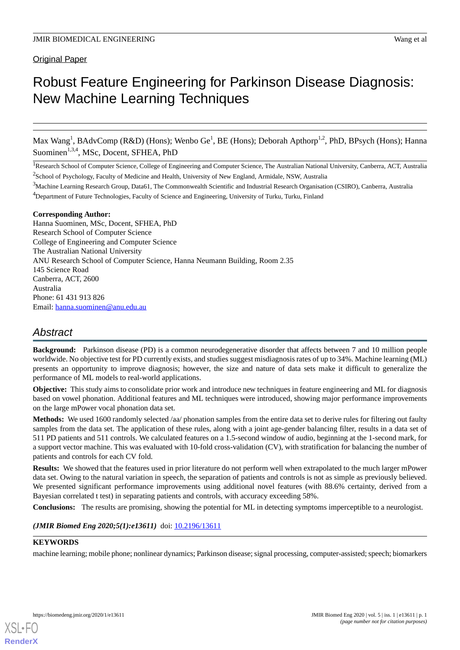# Original Paper

# Robust Feature Engineering for Parkinson Disease Diagnosis: New Machine Learning Techniques

Max Wang<sup>1</sup>, BAdvComp (R&D) (Hons); Wenbo Ge<sup>1</sup>, BE (Hons); Deborah Apthorp<sup>1,2</sup>, PhD, BPsych (Hons); Hanna Suominen<sup>1,3,4</sup>, MSc, Docent, SFHEA, PhD

<sup>1</sup>Research School of Computer Science, College of Engineering and Computer Science, The Australian National University, Canberra, ACT, Australia <sup>2</sup>School of Psychology, Faculty of Medicine and Health, University of New England, Armidale, NSW, Australia

# **Corresponding Author:**

Hanna Suominen, MSc, Docent, SFHEA, PhD Research School of Computer Science College of Engineering and Computer Science The Australian National University ANU Research School of Computer Science, Hanna Neumann Building, Room 2.35 145 Science Road Canberra, ACT, 2600 Australia Phone: 61 431 913 826 Email: [hanna.suominen@anu.edu.au](mailto:hanna.suominen@anu.edu.au)

# *Abstract*

**Background:** Parkinson disease (PD) is a common neurodegenerative disorder that affects between 7 and 10 million people worldwide. No objective test for PD currently exists, and studies suggest misdiagnosis rates of up to 34%. Machine learning (ML) presents an opportunity to improve diagnosis; however, the size and nature of data sets make it difficult to generalize the performance of ML models to real-world applications.

**Objective:** This study aims to consolidate prior work and introduce new techniques in feature engineering and ML for diagnosis based on vowel phonation. Additional features and ML techniques were introduced, showing major performance improvements on the large mPower vocal phonation data set.

**Methods:** We used 1600 randomly selected /aa/ phonation samples from the entire data set to derive rules for filtering out faulty samples from the data set. The application of these rules, along with a joint age-gender balancing filter, results in a data set of 511 PD patients and 511 controls. We calculated features on a 1.5-second window of audio, beginning at the 1-second mark, for a support vector machine. This was evaluated with 10-fold cross-validation (CV), with stratification for balancing the number of patients and controls for each CV fold.

**Results:** We showed that the features used in prior literature do not perform well when extrapolated to the much larger mPower data set. Owing to the natural variation in speech, the separation of patients and controls is not as simple as previously believed. We presented significant performance improvements using additional novel features (with 88.6% certainty, derived from a Bayesian correlated t test) in separating patients and controls, with accuracy exceeding 58%.

**Conclusions:** The results are promising, showing the potential for ML in detecting symptoms imperceptible to a neurologist.

# *(JMIR Biomed Eng 2020;5(1):e13611)* doi: [10.2196/13611](http://dx.doi.org/10.2196/13611)

# **KEYWORDS**

machine learning; mobile phone; nonlinear dynamics; Parkinson disease; signal processing, computer-assisted; speech; biomarkers



 $3$ Machine Learning Research Group, Data61, The Commonwealth Scientific and Industrial Research Organisation (CSIRO), Canberra, Australia <sup>4</sup>Department of Future Technologies, Faculty of Science and Engineering, University of Turku, Turku, Finland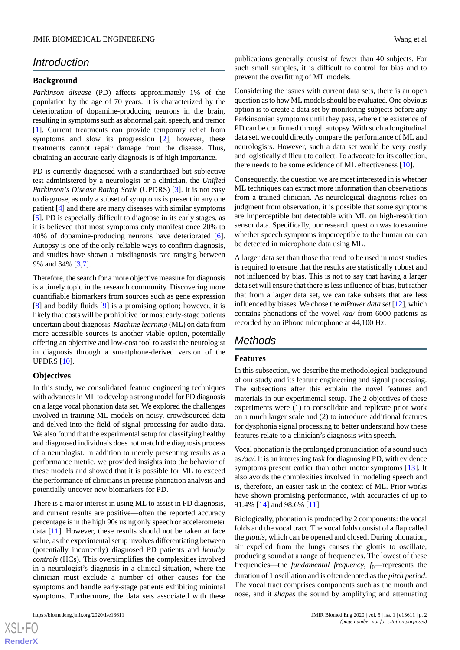# *Introduction*

### **Background**

*Parkinson disease* (PD) affects approximately 1% of the population by the age of 70 years. It is characterized by the deterioration of dopamine-producing neurons in the brain, resulting in symptoms such as abnormal gait, speech, and tremor [[1\]](#page-9-0). Current treatments can provide temporary relief from symptoms and slow its progression [\[2](#page-9-1)]; however, these treatments cannot repair damage from the disease. Thus, obtaining an accurate early diagnosis is of high importance.

PD is currently diagnosed with a standardized but subjective test administered by a neurologist or a clinician, the *Unified Parkinson's Disease Rating Scale* (UPDRS) [\[3](#page-9-2)]. It is not easy to diagnose, as only a subset of symptoms is present in any one patient [[4](#page-9-3)] and there are many diseases with similar symptoms [[5\]](#page-9-4). PD is especially difficult to diagnose in its early stages, as it is believed that most symptoms only manifest once 20% to 40% of dopamine-producing neurons have deteriorated [[6\]](#page-9-5). Autopsy is one of the only reliable ways to confirm diagnosis, and studies have shown a misdiagnosis rate ranging between 9% and 34% [\[3](#page-9-2),[7\]](#page-10-0).

Therefore, the search for a more objective measure for diagnosis is a timely topic in the research community. Discovering more quantifiable biomarkers from sources such as gene expression [[8\]](#page-10-1) and bodily fluids [[9\]](#page-10-2) is a promising option; however, it is likely that costs will be prohibitive for most early-stage patients uncertain about diagnosis. *Machine learning* (ML) on data from more accessible sources is another viable option, potentially offering an objective and low-cost tool to assist the neurologist in diagnosis through a smartphone-derived version of the UPDRS [[10\]](#page-10-3).

#### **Objectives**

In this study, we consolidated feature engineering techniques with advances in ML to develop a strong model for PD diagnosis on a large vocal phonation data set. We explored the challenges involved in training ML models on noisy, crowdsourced data and delved into the field of signal processing for audio data. We also found that the experimental setup for classifying healthy and diagnosed individuals does not match the diagnosis process of a neurologist. In addition to merely presenting results as a performance metric, we provided insights into the behavior of these models and showed that it is possible for ML to exceed the performance of clinicians in precise phonation analysis and potentially uncover new biomarkers for PD.

There is a major interest in using ML to assist in PD diagnosis, and current results are positive—often the reported accuracy percentage is in the high 90s using only speech or accelerometer data [[11\]](#page-10-4). However, these results should not be taken at face value, as the experimental setup involves differentiating between (potentially incorrectly) diagnosed PD patients and *healthy controls* (HCs). This oversimplifies the complexities involved in a neurologist's diagnosis in a clinical situation, where the clinician must exclude a number of other causes for the symptoms and handle early-stage patients exhibiting minimal symptoms. Furthermore, the data sets associated with these

publications generally consist of fewer than 40 subjects. For such small samples, it is difficult to control for bias and to prevent the overfitting of ML models.

Considering the issues with current data sets, there is an open question as to how ML models should be evaluated. One obvious option is to create a data set by monitoring subjects before any Parkinsonian symptoms until they pass, where the existence of PD can be confirmed through autopsy. With such a longitudinal data set, we could directly compare the performance of ML and neurologists. However, such a data set would be very costly and logistically difficult to collect. To advocate for its collection, there needs to be some evidence of ML effectiveness [[10\]](#page-10-3).

Consequently, the question we are most interested in is whether ML techniques can extract more information than observations from a trained clinician. As neurological diagnosis relies on judgment from observation, it is possible that some symptoms are imperceptible but detectable with ML on high-resolution sensor data. Specifically, our research question was to examine whether speech symptoms imperceptible to the human ear can be detected in microphone data using ML.

A larger data set than those that tend to be used in most studies is required to ensure that the results are statistically robust and not influenced by bias. This is not to say that having a larger data set will ensure that there is less influence of bias, but rather that from a larger data set, we can take subsets that are less influenced by biases. We chose the *mPower data set* [\[12\]](#page-10-5), which contains phonations of the vowel */aa/* from 6000 patients as recorded by an iPhone microphone at 44*,*100 Hz.

# *Methods*

# **Features**

In this subsection, we describe the methodological background of our study and its feature engineering and signal processing. The subsections after this explain the novel features and materials in our experimental setup. The 2 objectives of these experiments were (1) to consolidate and replicate prior work on a much larger scale and (2) to introduce additional features for dysphonia signal processing to better understand how these features relate to a clinician's diagnosis with speech.

Vocal phonation is the prolonged pronunciation of a sound such as */aa/*. It is an interesting task for diagnosing PD, with evidence symptoms present earlier than other motor symptoms [[13\]](#page-10-6). It also avoids the complexities involved in modeling speech and is, therefore, an easier task in the context of ML. Prior works have shown promising performance, with accuracies of up to 91*.*4% [\[14](#page-10-7)] and 98*.*6% [[11\]](#page-10-4).

Biologically, phonation is produced by 2 components: the vocal folds and the vocal tract. The vocal folds consist of a flap called the *glottis*, which can be opened and closed. During phonation, air expelled from the lungs causes the glottis to oscillate, producing sound at a range of frequencies. The lowest of these frequencies—the *fundamental frequency*,  $f_0$ —represents the duration of 1 oscillation and is often denoted as the *pitch period*. The vocal tract comprises components such as the mouth and nose, and it *shapes* the sound by amplifying and attenuating

 $XS$  $\cdot$ FC **[RenderX](http://www.renderx.com/)**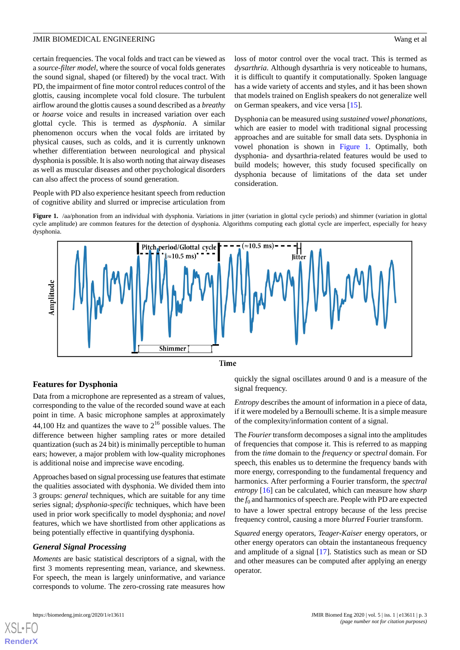certain frequencies. The vocal folds and tract can be viewed as a *source-filter model*, where the source of vocal folds generates the sound signal, shaped (or filtered) by the vocal tract. With PD, the impairment of fine motor control reduces control of the glottis, causing incomplete vocal fold closure. The turbulent airflow around the glottis causes a sound described as a *breathy* or *hoarse* voice and results in increased variation over each glottal cycle. This is termed as *dysphonia*. A similar phenomenon occurs when the vocal folds are irritated by physical causes, such as colds, and it is currently unknown whether differentiation between neurological and physical dysphonia is possible. It is also worth noting that airway diseases as well as muscular diseases and other psychological disorders can also affect the process of sound generation.

<span id="page-2-0"></span>People with PD also experience hesitant speech from reduction of cognitive ability and slurred or imprecise articulation from loss of motor control over the vocal tract. This is termed as *dysarthria*. Although dysarthria is very noticeable to humans, it is difficult to quantify it computationally. Spoken language has a wide variety of accents and styles, and it has been shown that models trained on English speakers do not generalize well on German speakers, and vice versa [\[15](#page-10-8)].

Dysphonia can be measured using *sustained vowel phonations*, which are easier to model with traditional signal processing approaches and are suitable for small data sets. Dysphonia in vowel phonation is shown in [Figure 1](#page-2-0). Optimally, both dysphonia- and dysarthria-related features would be used to build models; however, this study focused specifically on dysphonia because of limitations of the data set under consideration.

**Figure 1.** /aa/phonation from an individual with dysphonia. Variations in jitter (variation in glottal cycle periods) and shimmer (variation in glottal cycle amplitude) are common features for the detection of dysphonia. Algorithms computing each glottal cycle are imperfect, especially for heavy dysphonia.



Time

# **Features for Dysphonia**

Data from a microphone are represented as a stream of values, corresponding to the value of the recorded sound wave at each point in time. A basic microphone samples at approximately 44*,*100 Hz and quantizes the wave to 2 <sup>16</sup> possible values. The difference between higher sampling rates or more detailed quantization (such as 24 bit) is minimally perceptible to human ears; however, a major problem with low-quality microphones is additional noise and imprecise wave encoding.

Approaches based on signal processing use features that estimate the qualities associated with dysphonia. We divided them into 3 groups: *general* techniques, which are suitable for any time series signal; *dysphonia-specific* techniques, which have been used in prior work specifically to model dysphonia; and *novel* features, which we have shortlisted from other applications as being potentially effective in quantifying dysphonia.

### *General Signal Processing*

*Moments* are basic statistical descriptors of a signal, with the first 3 moments representing mean, variance, and skewness. For speech, the mean is largely uninformative, and variance corresponds to volume. The zero-crossing rate measures how

quickly the signal oscillates around 0 and is a measure of the signal frequency.

*Entropy* describes the amount of information in a piece of data, if it were modeled by a Bernoulli scheme. It is a simple measure of the complexity/information content of a signal.

The *Fourier* transform decomposes a signal into the amplitudes of frequencies that compose it. This is referred to as mapping from the *time* domain to the *frequency* or *spectral* domain. For speech, this enables us to determine the frequency bands with more energy, corresponding to the fundamental frequency and harmonics. After performing a Fourier transform, the *spectral entropy* [[16\]](#page-10-9) can be calculated, which can measure how *sharp* the  $f_0$  and harmonics of speech are. People with PD are expected to have a lower spectral entropy because of the less precise frequency control, causing a more *blurred* Fourier transform.

*Squared* energy operators, *Teager-Kaiser* energy operators, or other energy operators can obtain the instantaneous frequency and amplitude of a signal [\[17](#page-10-10)]. Statistics such as mean or SD and other measures can be computed after applying an energy operator.

[XSL](http://www.w3.org/Style/XSL)•FO **[RenderX](http://www.renderx.com/)**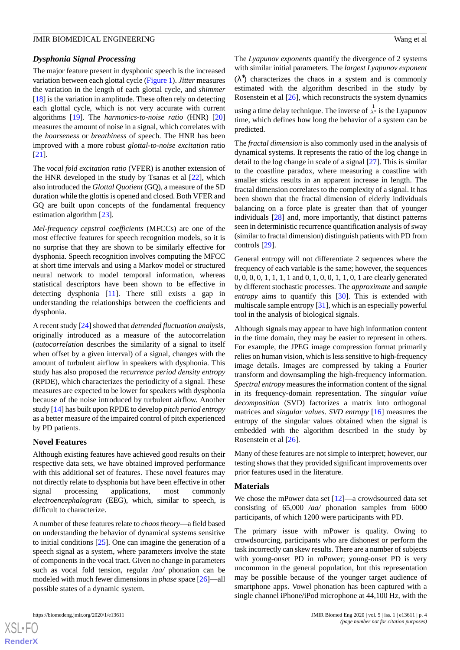### *Dysphonia Signal Processing*

The major feature present in dysphonic speech is the increased variation between each glottal cycle ([Figure 1](#page-2-0)). *Jitter* measures the variation in the length of each glottal cycle, and *shimmer* [[18\]](#page-10-11) is the variation in amplitude. These often rely on detecting each glottal cycle, which is not very accurate with current algorithms [[19\]](#page-10-12). The *harmonics-to-noise ratio* (HNR) [\[20](#page-10-13)] measures the amount of noise in a signal, which correlates with the *hoarseness* or *breathiness* of speech. The HNR has been improved with a more robust *glottal-to-noise excitation* ratio [[21\]](#page-10-14).

The *vocal fold excitation ratio* (VFER) is another extension of the HNR developed in the study by Tsanas et al [[22\]](#page-10-15), which also introduced the *Glottal Quotient* (GQ), a measure of the SD duration while the glottis is opened and closed. Both VFER and GQ are built upon concepts of the fundamental frequency estimation algorithm [\[23](#page-10-16)].

*Mel-frequency cepstral coefficients* (MFCCs) are one of the most effective features for speech recognition models, so it is no surprise that they are shown to be similarly effective for dysphonia. Speech recognition involves computing the MFCC at short time intervals and using a Markov model or structured neural network to model temporal information, whereas statistical descriptors have been shown to be effective in detecting dysphonia [[11\]](#page-10-4). There still exists a gap in understanding the relationships between the coefficients and dysphonia.

A recent study [\[24](#page-10-17)] showed that *detrended fluctuation analysis*, originally introduced as a measure of the autocorrelation (*autocorrelation* describes the similarity of a signal to itself when offset by a given interval) of a signal, changes with the amount of turbulent airflow in speakers with dysphonia. This study has also proposed the *recurrence period density entropy* (RPDE), which characterizes the periodicity of a signal. These measures are expected to be lower for speakers with dysphonia because of the noise introduced by turbulent airflow. Another study [\[14](#page-10-7)] has built upon RPDE to develop *pitch period entropy* as a better measure of the impaired control of pitch experienced by PD patients.

### **Novel Features**

Although existing features have achieved good results on their respective data sets, we have obtained improved performance with this additional set of features. These novel features may not directly relate to dysphonia but have been effective in other signal processing applications, most commonly *electroencephalogram* (EEG), which, similar to speech, is difficult to characterize.

A number of these features relate to *chaos theory*—a field based on understanding the behavior of dynamical systems sensitive to initial conditions [[25\]](#page-10-18). One can imagine the generation of a speech signal as a system, where parameters involve the state of components in the vocal tract. Given no change in parameters such as vocal fold tension, regular */aa/* phonation can be modeled with much fewer dimensions in *phase* space [\[26](#page-10-19)]—all possible states of a dynamic system.

The *Lyapunov exponents* quantify the divergence of 2 systems with similar initial parameters. The *largest Lyapunov exponent*  $(\lambda^*)$  characterizes the chaos in a system and is commonly estimated with the algorithm described in the study by Rosenstein et al [[26\]](#page-10-19), which reconstructs the system dynamics using a time delay technique. The inverse of  $\frac{1}{\lambda^*}$  is the Lyapunov time, which defines how long the behavior of a system can be predicted.

The *fractal dimension* is also commonly used in the analysis of dynamical systems. It represents the ratio of the log change in detail to the log change in scale of a signal [[27\]](#page-10-20). This is similar to the coastline paradox, where measuring a coastline with smaller sticks results in an apparent increase in length. The fractal dimension correlates to the complexity of a signal. It has been shown that the fractal dimension of elderly individuals balancing on a force plate is greater than that of younger individuals [[28\]](#page-10-21) and, more importantly, that distinct patterns seen in deterministic recurrence quantification analysis of sway (similar to fractal dimension) distinguish patients with PD from controls [[29\]](#page-10-22).

General entropy will not differentiate 2 sequences where the frequency of each variable is the same; however, the sequences 0, 0, 0, 0, 1, 1, 1, 1 and 0, 1, 0, 0, 1, 1, 0, 1 are clearly generated by different stochastic processes. The *approximate* and *sample entropy* aims to quantify this [[30\]](#page-11-0). This is extended with multiscale sample entropy [[31\]](#page-11-1), which is an especially powerful tool in the analysis of biological signals.

Although signals may appear to have high information content in the time domain, they may be easier to represent in others. For example, the JPEG image compression format primarily relies on human vision, which is less sensitive to high-frequency image details. Images are compressed by taking a Fourier transform and downsampling the high-frequency information. *Spectral entropy* measures the information content of the signal in its frequency-domain representation. The *singular value decomposition* (SVD) factorizes a matrix into orthogonal matrices and *singular values*. *SVD entropy* [[16\]](#page-10-9) measures the entropy of the singular values obtained when the signal is embedded with the algorithm described in the study by Rosenstein et al [[26\]](#page-10-19).

Many of these features are not simple to interpret; however, our testing shows that they provided significant improvements over prior features used in the literature.

#### **Materials**

We chose the mPower data set [[12\]](#page-10-5)—a crowdsourced data set consisting of 65*,*000 */aa/* phonation samples from 6000 participants, of which 1200 were participants with PD.

The primary issue with mPower is quality. Owing to crowdsourcing, participants who are dishonest or perform the task incorrectly can skew results. There are a number of subjects with young-onset PD in mPower; young-onset PD is very uncommon in the general population, but this representation may be possible because of the younger target audience of smartphone apps. Vowel phonation has been captured with a single channel iPhone/iPod microphone at 44,100 Hz, with the

 $XS$  • FO **[RenderX](http://www.renderx.com/)**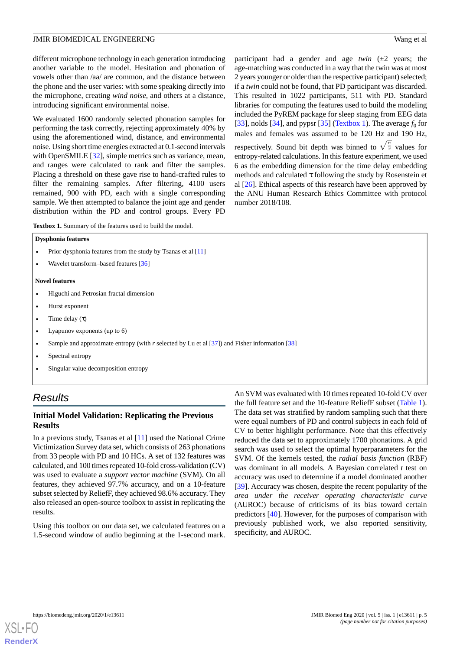different microphone technology in each generation introducing another variable to the model. Hesitation and phonation of vowels other than /aa/ are common, and the distance between the phone and the user varies: with some speaking directly into the microphone, creating *wind noise*, and others at a distance, introducing significant environmental noise.

We evaluated 1600 randomly selected phonation samples for performing the task correctly, rejecting approximately 40% by using the aforementioned wind, distance, and environmental noise. Using short time energies extracted at 0.1-second intervals with OpenSMILE [[32\]](#page-11-2), simple metrics such as variance, mean, and ranges were calculated to rank and filter the samples. Placing a threshold on these gave rise to hand-crafted rules to filter the remaining samples. After filtering, 4100 users remained, 900 with PD, each with a single corresponding sample. We then attempted to balance the joint age and gender distribution within the PD and control groups. Every PD

participant had a gender and age *twin* (±2 years; the age-matching was conducted in a way that the twin was at most 2 years younger or older than the respective participant) selected; if a *twin* could not be found, that PD participant was discarded. This resulted in 1022 participants, 511 with PD. Standard libraries for computing the features used to build the modeling included the PyREM package for sleep staging from EEG data [[33\]](#page-11-3), nolds [\[34](#page-11-4)], and pypsr [[35\]](#page-11-5) ([Textbox 1\)](#page-4-0). The average  $f_0$  for males and females was assumed to be 120 Hz and 190 Hz, respectively. Sound bit depth was binned to  $\sqrt{\frac{n}{2}}$  values for entropy-related calculations. In this feature experiment, we used 6 as the embedding dimension for the time delay embedding methods and calculated τ following the study by Rosenstein et al [[26\]](#page-10-19). Ethical aspects of this research have been approved by the ANU Human Research Ethics Committee with protocol number 2018/108.

<span id="page-4-0"></span>**Textbox 1.** Summary of the features used to build the model.

#### **Dysphonia features**

- Prior dysphonia features from the study by Tsanas et al [\[11\]](#page-10-4)
- Wavelet transform–based features [[36](#page-11-6)]

#### **Novel features**

- Higuchi and Petrosian fractal dimension
- Hurst exponent
- Time delay  $(\tau)$
- Lyapunov exponents (up to 6)
- Sample and approximate entropy (with *r* selected by Lu et al [[37](#page-11-7)]) and Fisher information [[38](#page-11-8)]
- Spectral entropy
- Singular value decomposition entropy

# *Results*

# **Initial Model Validation: Replicating the Previous Results**

In a previous study, Tsanas et al [[11\]](#page-10-4) used the National Crime Victimization Survey data set, which consists of 263 phonations from 33 people with PD and 10 HCs. A set of 132 features was calculated, and 100 times repeated 10-fold cross-validation (CV) was used to evaluate a *support vector machine* (SVM). On all features, they achieved 97.7% accuracy, and on a 10-feature subset selected by ReliefF, they achieved 98.6% accuracy. They also released an open-source toolbox to assist in replicating the results.

Using this toolbox on our data set, we calculated features on a 1.5-second window of audio beginning at the 1-second mark.

An SVM was evaluated with 10 times repeated 10-fold CV over the full feature set and the 10-feature ReliefF subset [\(Table 1\)](#page-5-0). The data set was stratified by random sampling such that there were equal numbers of PD and control subjects in each fold of CV to better highlight performance. Note that this effectively reduced the data set to approximately 1700 phonations. A grid search was used to select the optimal hyperparameters for the SVM. Of the kernels tested, the *radial basis function* (RBF) was dominant in all models. A Bayesian correlated *t* test on accuracy was used to determine if a model dominated another [[39\]](#page-11-9). Accuracy was chosen, despite the recent popularity of the *area under the receiver operating characteristic curve* (AUROC) because of criticisms of its bias toward certain predictors [\[40](#page-11-10)]. However, for the purposes of comparison with previously published work, we also reported sensitivity, specificity, and AUROC.

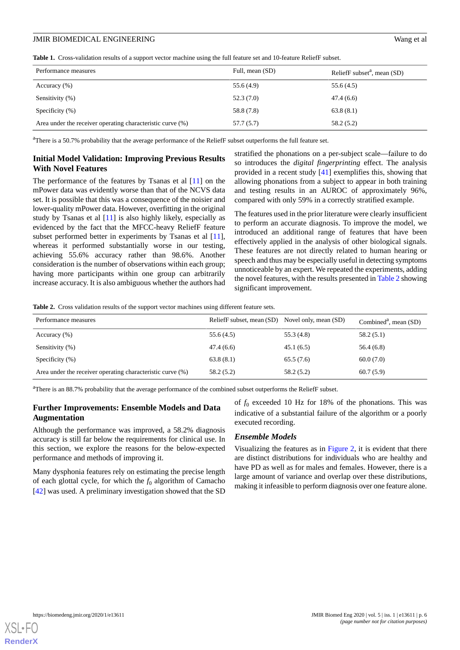<span id="page-5-0"></span>**Table 1.** Cross-validation results of a support vector machine using the full feature set and 10-feature ReliefF subset.

| Performance measures                                       | Full, mean (SD) | ReliefF subset $a$ , mean (SD) |
|------------------------------------------------------------|-----------------|--------------------------------|
| Accuracy $(\% )$                                           | 55.6 (4.9)      | 55.6 (4.5)                     |
| Sensitivity (%)                                            | 52.3(7.0)       | 47.4(6.6)                      |
| Specificity $(\% )$                                        | 58.8 (7.8)      | 63.8(8.1)                      |
| Area under the receiver operating characteristic curve (%) | 57.7 (5.7)      | 58.2 (5.2)                     |

<sup>a</sup>There is a 50.7% probability that the average performance of the ReliefF subset outperforms the full feature set.

# **Initial Model Validation: Improving Previous Results With Novel Features**

The performance of the features by Tsanas et al [[11\]](#page-10-4) on the mPower data was evidently worse than that of the NCVS data set. It is possible that this was a consequence of the noisier and lower-quality mPower data. However, overfitting in the original study by Tsanas et al [[11\]](#page-10-4) is also highly likely, especially as evidenced by the fact that the MFCC-heavy ReliefF feature subset performed better in experiments by Tsanas et al [[11\]](#page-10-4), whereas it performed substantially worse in our testing, achieving 55.6% accuracy rather than 98.6%. Another consideration is the number of observations within each group; having more participants within one group can arbitrarily increase accuracy. It is also ambiguous whether the authors had

stratified the phonations on a per-subject scale—failure to do so introduces the *digital fingerprinting* effect. The analysis provided in a recent study [[41\]](#page-11-11) exemplifies this, showing that allowing phonations from a subject to appear in both training and testing results in an AUROC of approximately 96%, compared with only 59% in a correctly stratified example.

The features used in the prior literature were clearly insufficient to perform an accurate diagnosis. To improve the model, we introduced an additional range of features that have been effectively applied in the analysis of other biological signals. These features are not directly related to human hearing or speech and thus may be especially useful in detecting symptoms unnoticeable by an expert. We repeated the experiments, adding the novel features, with the results presented in [Table 2](#page-5-1) showing significant improvement.

<span id="page-5-1"></span>**Table 2.** Cross validation results of the support vector machines using different feature sets.

| Performance measures                                       | ReliefF subset, mean (SD) Novel only, mean (SD) |            | Combined <sup>a</sup> , mean $(SD)$ |
|------------------------------------------------------------|-------------------------------------------------|------------|-------------------------------------|
| Accuracy $(\% )$                                           | 55.6 (4.5)                                      | 55.3 (4.8) | 58.2(5.1)                           |
| Sensitivity (%)                                            | 47.4 (6.6)                                      | 45.1(6.5)  | 56.4(6.8)                           |
| Specificity $(\%)$                                         | 63.8(8.1)                                       | 65.5(7.6)  | 60.0(7.0)                           |
| Area under the receiver operating characteristic curve (%) | 58.2(5.2)                                       | 58.2(5.2)  | 60.7(5.9)                           |

<sup>a</sup>There is an 88.7% probability that the average performance of the combined subset outperforms the ReliefF subset.

# **Further Improvements: Ensemble Models and Data Augmentation**

Although the performance was improved, a 58.2% diagnosis accuracy is still far below the requirements for clinical use. In this section, we explore the reasons for the below-expected performance and methods of improving it.

Many dysphonia features rely on estimating the precise length of each glottal cycle, for which the  $f_0$  algorithm of Camacho [[42\]](#page-11-12) was used. A preliminary investigation showed that the SD of  $f_0$  exceeded 10 Hz for 18% of the phonations. This was indicative of a substantial failure of the algorithm or a poorly executed recording.

### *Ensemble Models*

Visualizing the features as in [Figure 2,](#page-6-0) it is evident that there are distinct distributions for individuals who are healthy and have PD as well as for males and females. However, there is a large amount of variance and overlap over these distributions, making it infeasible to perform diagnosis over one feature alone.

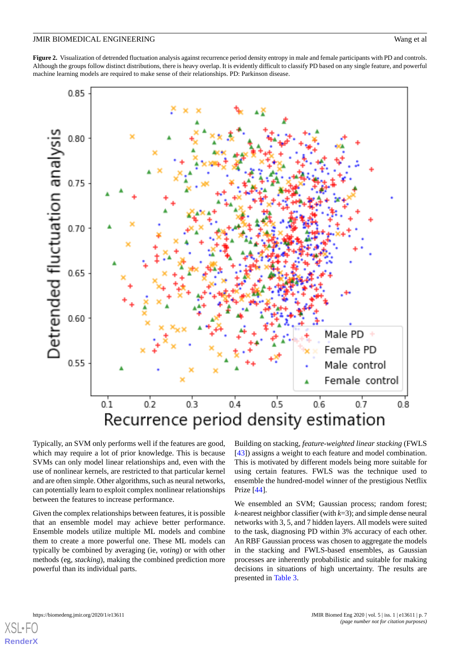<span id="page-6-0"></span>**Figure 2.** Visualization of detrended fluctuation analysis against recurrence period density entropy in male and female participants with PD and controls. Although the groups follow distinct distributions, there is heavy overlap. It is evidently difficult to classify PD based on any single feature, and powerful machine learning models are required to make sense of their relationships. PD: Parkinson disease.



Typically, an SVM only performs well if the features are good, which may require a lot of prior knowledge. This is because SVMs can only model linear relationships and, even with the use of nonlinear kernels, are restricted to that particular kernel and are often simple. Other algorithms, such as neural networks, can potentially learn to exploit complex nonlinear relationships between the features to increase performance.

Given the complex relationships between features, it is possible that an ensemble model may achieve better performance. Ensemble models utilize multiple ML models and combine them to create a more powerful one. These ML models can typically be combined by averaging (ie, *voting*) or with other methods (eg, *stacking*), making the combined prediction more powerful than its individual parts.

Building on stacking, *feature-weighted linear stacking* (FWLS [[43\]](#page-11-13)) assigns a weight to each feature and model combination. This is motivated by different models being more suitable for using certain features. FWLS was the technique used to ensemble the hundred-model winner of the prestigious Netflix Prize [\[44](#page-11-14)].

We ensembled an SVM; Gaussian process; random forest; *k*-nearest neighbor classifier (with *k*=3); and simple dense neural networks with 3, 5, and 7 hidden layers. All models were suited to the task, diagnosing PD within 3% accuracy of each other. An RBF Gaussian process was chosen to aggregate the models in the stacking and FWLS-based ensembles, as Gaussian processes are inherently probabilistic and suitable for making decisions in situations of high uncertainty. The results are presented in [Table 3](#page-7-0).

 $XS$  • F( **[RenderX](http://www.renderx.com/)**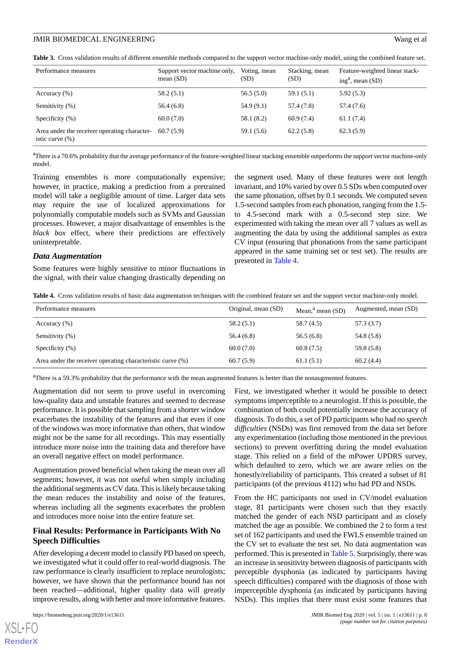<span id="page-7-0"></span>**Table 3.** Cross validation results of different ensemble methods compared to the support vector machine-only model, using the combined feature set.

| Performance measures                                                | Support vector machine only,<br>mean $(SD)$ | Voting, mean<br>(SD) | Stacking, mean<br>(SD) | Feature-weighted linear stack-<br>ing <sup>a</sup> , mean $(SD)$ |
|---------------------------------------------------------------------|---------------------------------------------|----------------------|------------------------|------------------------------------------------------------------|
| Accuracy $(\% )$                                                    | 58.2(5.1)                                   | 56.5(5.0)            | 59.1 (5.1)             | 5.92(5.3)                                                        |
| Sensitivity (%)                                                     | 56.4(6.8)                                   | 54.9(9.1)            | 57.4 (7.8)             | 57.4 (7.6)                                                       |
| Specificity $(\% )$                                                 | 60.0(7.0)                                   | 58.1 (8.2)           | 60.9(7.4)              | 61.1(7.4)                                                        |
| Area under the receiver operating character-<br>istic curve $(\% )$ | 60.7(5.9)                                   | 59.1 (5.6)           | 62.2(5.8)              | 62.3(5.9)                                                        |

<sup>a</sup>There is a 70.6% probability that the average performance of the feature-weighted linear stacking ensemble outperforms the support vector machine-only model.

Training ensembles is more computationally expensive; however, in practice, making a prediction from a pretrained model will take a negligible amount of time. Larger data sets may require the use of localized approximations for polynomially computable models such as SVMs and Gaussian processes. However, a major disadvantage of ensembles is the *black box* effect, where their predictions are effectively uninterpretable.

the segment used. Many of these features were not length invariant, and 10% varied by over 0.5 SDs when computed over the same phonation, offset by 0.1 seconds. We computed seven 1.5-second samples from each phonation, ranging from the 1.5 to 4.5-second mark with a 0.5-second step size. We experimented with taking the mean over all 7 values as well as augmenting the data by using the additional samples as extra CV input (ensuring that phonations from the same participant appeared in the same training set or test set). The results are presented in [Table 4](#page-7-1).

#### *Data Augmentation*

<span id="page-7-1"></span>Some features were highly sensitive to minor fluctuations in the signal, with their value changing drastically depending on

**Table 4.** Cross validation results of basic data augmentation techniques with the combined feature set and the support vector machine-only model.

| Performance measures                                       | Original, mean (SD) | Mean, $a$ <sup>a</sup> mean (SD) | Augmented, mean (SD) |
|------------------------------------------------------------|---------------------|----------------------------------|----------------------|
| Accuracy $(\% )$                                           | 58.2(5.1)           | 58.7 (4.5)                       | 57.3 (3.7)           |
| Sensitivity (%)                                            | 56.4(6.8)           | 56.5(6.8)                        | 54.8 (5.8)           |
| Specificity $(\% )$                                        | 60.0(7.0)           | 60.8(7.5)                        | 59.8 (5.8)           |
| Area under the receiver operating characteristic curve (%) | 60.7(5.9)           | 61.1(5.1)                        | 60.2(4.4)            |

<sup>a</sup>There is a 59.3% probability that the performance with the mean augmented features is better than the nonaugmented features.

Augmentation did not seem to prove useful in overcoming low-quality data and unstable features and seemed to decrease performance. It is possible that sampling from a shorter window exacerbates the instability of the features and that even if one of the windows was more informative than others, that window might not be the same for all recordings. This may essentially introduce more noise into the training data and therefore have an overall negative effect on model performance.

Augmentation proved beneficial when taking the mean over all segments; however, it was not useful when simply including the additional segments as CV data. This is likely because taking the mean reduces the instability and noise of the features, whereas including all the segments exacerbates the problem and introduces more noise into the entire feature set.

# **Final Results: Performance in Participants With No Speech Difficulties**

After developing a decent model to classify PD based on speech, we investigated what it could offer to real-world diagnosis. The raw performance is clearly insufficient to replace neurologists; however, we have shown that the performance bound has not been reached—additional, higher quality data will greatly improve results, along with better and more informative features.

[XSL](http://www.w3.org/Style/XSL)•FO **[RenderX](http://www.renderx.com/)**

First, we investigated whether it would be possible to detect symptoms imperceptible to a neurologist. If this is possible, the combination of both could potentially increase the accuracy of diagnosis. To do this, a set of PD participants who had *no speech difficulties* (NSDs) was first removed from the data set before any experimentation (including those mentioned in the previous sections) to prevent overfitting during the model evaluation stage. This relied on a field of the mPower UPDRS survey, which defaulted to zero, which we are aware relies on the honestly/reliability of participants. This created a subset of 81 participants (of the previous 4112) who had PD and NSDs.

From the HC participants not used in CV/model evaluation stage, 81 participants were chosen such that they exactly matched the gender of each NSD participant and as closely matched the age as possible. We combined the 2 to form a test set of 162 participants and used the FWLS ensemble trained on the CV set to evaluate the test set. No data augmentation was performed. This is presented in [Table 5.](#page-8-0) Surprisingly, there was an increase in sensitivity between diagnosis of participants with perceptible dysphonia (as indicated by participants having speech difficulties) compared with the diagnosis of those with imperceptible dysphonia (as indicated by participants having NSDs). This implies that there must exist some features that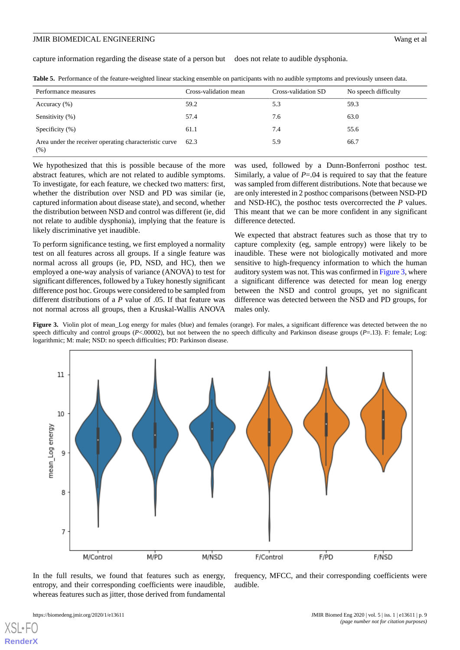capture information regarding the disease state of a person but does not relate to audible dysphonia.

| Performance measures                                           | Cross-validation mean | Cross-validation SD | No speech difficulty |
|----------------------------------------------------------------|-----------------------|---------------------|----------------------|
| Accuracy $(\% )$                                               | 59.2                  | 5.3                 | 59.3                 |
| Sensitivity (%)                                                | 57.4                  | 7.6                 | 63.0                 |
| Specificity $(\% )$                                            | 61.1                  | 7.4                 | 55.6                 |
| Area under the receiver operating characteristic curve<br>(% ) | 62.3                  | 5.9                 | 66.7                 |

<span id="page-8-0"></span>**Table 5.** Performance of the feature-weighted linear stacking ensemble on participants with no audible symptoms and previously unseen data.

We hypothesized that this is possible because of the more abstract features, which are not related to audible symptoms. To investigate, for each feature, we checked two matters: first, whether the distribution over NSD and PD was similar (ie, captured information about disease state), and second, whether the distribution between NSD and control was different (ie, did not relate to audible dysphonia), implying that the feature is likely discriminative yet inaudible.

To perform significance testing, we first employed a normality test on all features across all groups. If a single feature was normal across all groups (ie, PD, NSD, and HC), then we employed a one-way analysis of variance (ANOVA) to test for significant differences, followed by a Tukey honestly significant difference post hoc. Groups were considered to be sampled from different distributions of a *P* value of .05. If that feature was not normal across all groups, then a Kruskal-Wallis ANOVA

was used, followed by a Dunn-Bonferroni posthoc test. Similarly, a value of *P*=.04 is required to say that the feature was sampled from different distributions. Note that because we are only interested in 2 posthoc comparisons (between NSD-PD and NSD-HC), the posthoc tests overcorrected the *P* values. This meant that we can be more confident in any significant difference detected.

We expected that abstract features such as those that try to capture complexity (eg, sample entropy) were likely to be inaudible. These were not biologically motivated and more sensitive to high-frequency information to which the human auditory system was not. This was confirmed in [Figure 3](#page-8-1), where a significant difference was detected for mean log energy between the NSD and control groups, yet no significant difference was detected between the NSD and PD groups, for males only.

<span id="page-8-1"></span>Figure 3. Violin plot of mean\_Log energy for males (blue) and females (orange). For males, a significant difference was detected between the no speech difficulty and control groups (*P*<.00002), but not between the no speech difficulty and Parkinson disease groups (*P*=.13). F: female; Log: logarithmic; M: male; NSD: no speech difficulties; PD: Parkinson disease.



In the full results, we found that features such as energy, entropy, and their corresponding coefficients were inaudible, whereas features such as jitter, those derived from fundamental

[XSL](http://www.w3.org/Style/XSL)•FO **[RenderX](http://www.renderx.com/)**

audible.

frequency, MFCC, and their corresponding coefficients were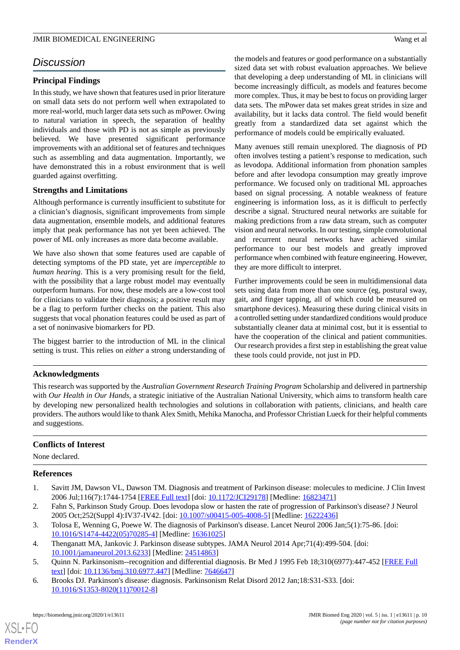# *Discussion*

# **Principal Findings**

In this study, we have shown that features used in prior literature on small data sets do not perform well when extrapolated to more real-world, much larger data sets such as mPower. Owing to natural variation in speech, the separation of healthy individuals and those with PD is not as simple as previously believed. We have presented significant performance improvements with an additional set of features and techniques such as assembling and data augmentation. Importantly, we have demonstrated this in a robust environment that is well guarded against overfitting.

# **Strengths and Limitations**

Although performance is currently insufficient to substitute for a clinician's diagnosis, significant improvements from simple data augmentation, ensemble models, and additional features imply that peak performance has not yet been achieved. The power of ML only increases as more data become available.

We have also shown that some features used are capable of detecting symptoms of the PD state, yet are *imperceptible to human hearing*. This is a very promising result for the field, with the possibility that a large robust model may eventually outperform humans. For now, these models are a low-cost tool for clinicians to validate their diagnosis; a positive result may be a flag to perform further checks on the patient. This also suggests that vocal phonation features could be used as part of a set of noninvasive biomarkers for PD.

The biggest barrier to the introduction of ML in the clinical setting is trust. This relies on *either* a strong understanding of

# the models and features *or* good performance on a substantially sized data set with robust evaluation approaches. We believe that developing a deep understanding of ML in clinicians will become increasingly difficult, as models and features become more complex. Thus, it may be best to focus on providing larger data sets. The mPower data set makes great strides in size and availability, but it lacks data control. The field would benefit greatly from a standardized data set against which the performance of models could be empirically evaluated.

Many avenues still remain unexplored. The diagnosis of PD often involves testing a patient's response to medication, such as levodopa. Additional information from phonation samples before and after levodopa consumption may greatly improve performance. We focused only on traditional ML approaches based on signal processing. A notable weakness of feature engineering is information loss, as it is difficult to perfectly describe a signal. Structured neural networks are suitable for making predictions from a raw data stream, such as computer vision and neural networks. In our testing, simple convolutional and recurrent neural networks have achieved similar performance to our best models and greatly improved performance when combined with feature engineering. However, they are more difficult to interpret.

Further improvements could be seen in multidimensional data sets using data from more than one source (eg, postural sway, gait, and finger tapping, all of which could be measured on smartphone devices). Measuring these during clinical visits in a controlled setting under standardized conditions would produce substantially cleaner data at minimal cost, but it is essential to have the cooperation of the clinical and patient communities. Our research provides a first step in establishing the great value these tools could provide, not just in PD.

# **Acknowledgments**

This research was supported by the *Australian Government Research Training Program* Scholarship and delivered in partnership with *Our Health in Our Hands*, a strategic initiative of the Australian National University, which aims to transform health care by developing new personalized health technologies and solutions in collaboration with patients, clinicians, and health care providers. The authors would like to thank Alex Smith, Mehika Manocha, and Professor Christian Lueck for their helpful comments and suggestions.

### <span id="page-9-0"></span>**Conflicts of Interest**

<span id="page-9-1"></span>None declared.

# <span id="page-9-2"></span>**References**

- <span id="page-9-3"></span>1. Savitt JM, Dawson VL, Dawson TM. Diagnosis and treatment of Parkinson disease: molecules to medicine. J Clin Invest 2006 Jul;116(7):1744-1754 [\[FREE Full text](https://doi.org/10.1172/JCI29178)] [doi: [10.1172/JCI29178\]](http://dx.doi.org/10.1172/JCI29178) [Medline: [16823471\]](http://www.ncbi.nlm.nih.gov/entrez/query.fcgi?cmd=Retrieve&db=PubMed&list_uids=16823471&dopt=Abstract)
- <span id="page-9-4"></span>2. Fahn S, Parkinson Study Group. Does levodopa slow or hasten the rate of progression of Parkinson's disease? J Neurol 2005 Oct;252(Suppl 4):IV37-IV42. [doi: [10.1007/s00415-005-4008-5](http://dx.doi.org/10.1007/s00415-005-4008-5)] [Medline: [16222436](http://www.ncbi.nlm.nih.gov/entrez/query.fcgi?cmd=Retrieve&db=PubMed&list_uids=16222436&dopt=Abstract)]
- <span id="page-9-5"></span>3. Tolosa E, Wenning G, Poewe W. The diagnosis of Parkinson's disease. Lancet Neurol 2006 Jan;5(1):75-86. [doi: [10.1016/S1474-4422\(05\)70285-4\]](http://dx.doi.org/10.1016/S1474-4422(05)70285-4) [Medline: [16361025](http://www.ncbi.nlm.nih.gov/entrez/query.fcgi?cmd=Retrieve&db=PubMed&list_uids=16361025&dopt=Abstract)]
- 4. Thenganatt MA, Jankovic J. Parkinson disease subtypes. JAMA Neurol 2014 Apr;71(4):499-504. [doi: [10.1001/jamaneurol.2013.6233\]](http://dx.doi.org/10.1001/jamaneurol.2013.6233) [Medline: [24514863\]](http://www.ncbi.nlm.nih.gov/entrez/query.fcgi?cmd=Retrieve&db=PubMed&list_uids=24514863&dopt=Abstract)
- 5. Quinn N. Parkinsonism--recognition and differential diagnosis. Br Med J 1995 Feb 18;310(6977):447-452 [[FREE Full](http://europepmc.org/abstract/MED/7646647) [text](http://europepmc.org/abstract/MED/7646647)] [doi: [10.1136/bmj.310.6977.447\]](http://dx.doi.org/10.1136/bmj.310.6977.447) [Medline: [7646647\]](http://www.ncbi.nlm.nih.gov/entrez/query.fcgi?cmd=Retrieve&db=PubMed&list_uids=7646647&dopt=Abstract)
- 6. Brooks DJ. Parkinson's disease: diagnosis. Parkinsonism Relat Disord 2012 Jan;18:S31-S33. [doi: [10.1016/S1353-8020\(11\)70012-8\]](http://dx.doi.org/10.1016/S1353-8020(11)70012-8)

[XSL](http://www.w3.org/Style/XSL)•FO **[RenderX](http://www.renderx.com/)**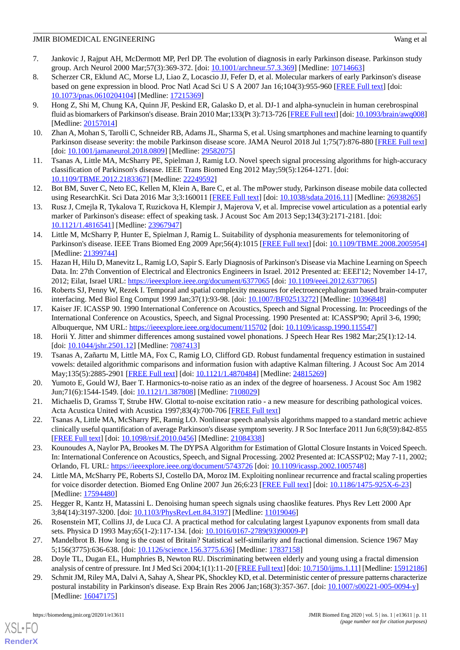- <span id="page-10-0"></span>7. Jankovic J, Rajput AH, McDermott MP, Perl DP. The evolution of diagnosis in early Parkinson disease. Parkinson study group. Arch Neurol 2000 Mar;57(3):369-372. [doi: [10.1001/archneur.57.3.369\]](http://dx.doi.org/10.1001/archneur.57.3.369) [Medline: [10714663\]](http://www.ncbi.nlm.nih.gov/entrez/query.fcgi?cmd=Retrieve&db=PubMed&list_uids=10714663&dopt=Abstract)
- <span id="page-10-1"></span>8. Scherzer CR, Eklund AC, Morse LJ, Liao Z, Locascio JJ, Fefer D, et al. Molecular markers of early Parkinson's disease based on gene expression in blood. Proc Natl Acad Sci U S A 2007 Jan 16;104(3):955-960 [[FREE Full text\]](http://www.pnas.org/cgi/pmidlookup?view=long&pmid=17215369) [doi: [10.1073/pnas.0610204104\]](http://dx.doi.org/10.1073/pnas.0610204104) [Medline: [17215369](http://www.ncbi.nlm.nih.gov/entrez/query.fcgi?cmd=Retrieve&db=PubMed&list_uids=17215369&dopt=Abstract)]
- <span id="page-10-2"></span>9. Hong Z, Shi M, Chung KA, Quinn JF, Peskind ER, Galasko D, et al. DJ-1 and alpha-synuclein in human cerebrospinal fluid as biomarkers of Parkinson's disease. Brain 2010 Mar;133(Pt 3):713-726 [[FREE Full text\]](http://europepmc.org/abstract/MED/20157014) [doi: [10.1093/brain/awq008\]](http://dx.doi.org/10.1093/brain/awq008) [Medline: [20157014](http://www.ncbi.nlm.nih.gov/entrez/query.fcgi?cmd=Retrieve&db=PubMed&list_uids=20157014&dopt=Abstract)]
- <span id="page-10-4"></span><span id="page-10-3"></span>10. Zhan A, Mohan S, Tarolli C, Schneider RB, Adams JL, Sharma S, et al. Using smartphones and machine learning to quantify Parkinson disease severity: the mobile Parkinson disease score. JAMA Neurol 2018 Jul 1;75(7):876-880 [\[FREE Full text](http://europepmc.org/abstract/MED/29582075)] [doi: [10.1001/jamaneurol.2018.0809](http://dx.doi.org/10.1001/jamaneurol.2018.0809)] [Medline: [29582075\]](http://www.ncbi.nlm.nih.gov/entrez/query.fcgi?cmd=Retrieve&db=PubMed&list_uids=29582075&dopt=Abstract)
- <span id="page-10-5"></span>11. Tsanas A, Little MA, McSharry PE, Spielman J, Ramig LO. Novel speech signal processing algorithms for high-accuracy classification of Parkinson's disease. IEEE Trans Biomed Eng 2012 May;59(5):1264-1271. [doi: [10.1109/TBME.2012.2183367\]](http://dx.doi.org/10.1109/TBME.2012.2183367) [Medline: [22249592](http://www.ncbi.nlm.nih.gov/entrez/query.fcgi?cmd=Retrieve&db=PubMed&list_uids=22249592&dopt=Abstract)]
- <span id="page-10-6"></span>12. Bot BM, Suver C, Neto EC, Kellen M, Klein A, Bare C, et al. The mPower study, Parkinson disease mobile data collected using ResearchKit. Sci Data 2016 Mar 3;3:160011 [[FREE Full text](http://europepmc.org/abstract/MED/26938265)] [doi: [10.1038/sdata.2016.11](http://dx.doi.org/10.1038/sdata.2016.11)] [Medline: [26938265](http://www.ncbi.nlm.nih.gov/entrez/query.fcgi?cmd=Retrieve&db=PubMed&list_uids=26938265&dopt=Abstract)]
- <span id="page-10-7"></span>13. Rusz J, Cmejla R, Tykalova T, Ruzickova H, Klempir J, Majerova V, et al. Imprecise vowel articulation as a potential early marker of Parkinson's disease: effect of speaking task. J Acoust Soc Am 2013 Sep;134(3):2171-2181. [doi: [10.1121/1.4816541](http://dx.doi.org/10.1121/1.4816541)] [Medline: [23967947](http://www.ncbi.nlm.nih.gov/entrez/query.fcgi?cmd=Retrieve&db=PubMed&list_uids=23967947&dopt=Abstract)]
- <span id="page-10-8"></span>14. Little M, McSharry P, Hunter E, Spielman J, Ramig L. Suitability of dysphonia measurements for telemonitoring of Parkinson's disease. IEEE Trans Biomed Eng 2009 Apr;56(4):1015 [[FREE Full text\]](http://europepmc.org/abstract/MED/21399744) [doi: [10.1109/TBME.2008.2005954](http://dx.doi.org/10.1109/TBME.2008.2005954)] [Medline: [21399744](http://www.ncbi.nlm.nih.gov/entrez/query.fcgi?cmd=Retrieve&db=PubMed&list_uids=21399744&dopt=Abstract)]
- <span id="page-10-9"></span>15. Hazan H, Hilu D, Manevitz L, Ramig LO, Sapir S. Early Diagnosis of Parkinson's Disease via Machine Learning on Speech Data. In: 27th Convention of Electrical and Electronics Engineers in Israel. 2012 Presented at: EEEI'12; November 14-17, 2012; Eilat, Israel URL: <https://ieeexplore.ieee.org/document/6377065> [doi: [10.1109/eeei.2012.6377065](http://dx.doi.org/10.1109/eeei.2012.6377065)]
- <span id="page-10-10"></span>16. Roberts SJ, Penny W, Rezek I. Temporal and spatial complexity measures for electroencephalogram based brain-computer interfacing. Med Biol Eng Comput 1999 Jan;37(1):93-98. [doi: [10.1007/BF02513272\]](http://dx.doi.org/10.1007/BF02513272) [Medline: [10396848\]](http://www.ncbi.nlm.nih.gov/entrez/query.fcgi?cmd=Retrieve&db=PubMed&list_uids=10396848&dopt=Abstract)
- <span id="page-10-12"></span><span id="page-10-11"></span>17. Kaiser JF. ICASSP 90. 1990 International Conference on Acoustics, Speech and Signal Processing. In: Proceedings of the International Conference on Acoustics, Speech, and Signal Processing. 1990 Presented at: ICASSP'90; April 3-6, 1990; Albuquerque, NM URL:<https://ieeexplore.ieee.org/document/115702> [doi: [10.1109/icassp.1990.115547\]](http://dx.doi.org/10.1109/icassp.1990.115547)
- <span id="page-10-13"></span>18. Horii Y. Jitter and shimmer differences among sustained vowel phonations. J Speech Hear Res 1982 Mar;25(1):12-14. [doi: [10.1044/jshr.2501.12\]](http://dx.doi.org/10.1044/jshr.2501.12) [Medline: [7087413](http://www.ncbi.nlm.nih.gov/entrez/query.fcgi?cmd=Retrieve&db=PubMed&list_uids=7087413&dopt=Abstract)]
- <span id="page-10-14"></span>19. Tsanas A, Zañartu M, Little MA, Fox C, Ramig LO, Clifford GD. Robust fundamental frequency estimation in sustained vowels: detailed algorithmic comparisons and information fusion with adaptive Kalman filtering. J Acoust Soc Am 2014 May;135(5):2885-2901 [\[FREE Full text\]](http://europepmc.org/abstract/MED/24815269) [doi: [10.1121/1.4870484\]](http://dx.doi.org/10.1121/1.4870484) [Medline: [24815269](http://www.ncbi.nlm.nih.gov/entrez/query.fcgi?cmd=Retrieve&db=PubMed&list_uids=24815269&dopt=Abstract)]
- <span id="page-10-15"></span>20. Yumoto E, Gould WJ, Baer T. Harmonics-to-noise ratio as an index of the degree of hoarseness. J Acoust Soc Am 1982 Jun;71(6):1544-1549. [doi: [10.1121/1.387808](http://dx.doi.org/10.1121/1.387808)] [Medline: [7108029\]](http://www.ncbi.nlm.nih.gov/entrez/query.fcgi?cmd=Retrieve&db=PubMed&list_uids=7108029&dopt=Abstract)
- <span id="page-10-16"></span>21. Michaelis D, Gramss T, Strube HW. Glottal to-noise excitation ratio - a new measure for describing pathological voices. Acta Acustica United with Acustica 1997;83(4):700-706 [\[FREE Full text\]](https://pdfs.semanticscholar.org/0457/dd95c33bdc38f5c0e7a96059a3fd556e4e6c.pdf)
- <span id="page-10-17"></span>22. Tsanas A, Little MA, McSharry PE, Ramig LO. Nonlinear speech analysis algorithms mapped to a standard metric achieve clinically useful quantification of average Parkinson's disease symptom severity. J R Soc Interface 2011 Jun 6;8(59):842-855 [[FREE Full text](http://europepmc.org/abstract/MED/21084338)] [doi: [10.1098/rsif.2010.0456](http://dx.doi.org/10.1098/rsif.2010.0456)] [Medline: [21084338\]](http://www.ncbi.nlm.nih.gov/entrez/query.fcgi?cmd=Retrieve&db=PubMed&list_uids=21084338&dopt=Abstract)
- <span id="page-10-18"></span>23. Kounoudes A, Naylor PA, Brookes M. The DYPSA Algorithm for Estimation of Glottal Closure Instants in Voiced Speech. In: International Conference on Acoustics, Speech, and Signal Processing. 2002 Presented at: ICASSP'02; May 7-11, 2002; Orlando, FL URL: <https://ieeexplore.ieee.org/document/5743726> [doi: [10.1109/icassp.2002.1005748\]](http://dx.doi.org/10.1109/icassp.2002.1005748)
- <span id="page-10-20"></span><span id="page-10-19"></span>24. Little MA, McSharry PE, Roberts SJ, Costello DA, Moroz IM. Exploiting nonlinear recurrence and fractal scaling properties for voice disorder detection. Biomed Eng Online 2007 Jun 26;6:23 [\[FREE Full text\]](https://biomedical-engineering-online.biomedcentral.com/articles/10.1186/1475-925X-6-23) [doi: [10.1186/1475-925X-6-23\]](http://dx.doi.org/10.1186/1475-925X-6-23) [Medline: [17594480](http://www.ncbi.nlm.nih.gov/entrez/query.fcgi?cmd=Retrieve&db=PubMed&list_uids=17594480&dopt=Abstract)]
- <span id="page-10-21"></span>25. Hegger R, Kantz H, Matassini L. Denoising human speech signals using chaoslike features. Phys Rev Lett 2000 Apr 3;84(14):3197-3200. [doi: [10.1103/PhysRevLett.84.3197](http://dx.doi.org/10.1103/PhysRevLett.84.3197)] [Medline: [11019046\]](http://www.ncbi.nlm.nih.gov/entrez/query.fcgi?cmd=Retrieve&db=PubMed&list_uids=11019046&dopt=Abstract)
- <span id="page-10-22"></span>26. Rosenstein MT, Collins JJ, de Luca CJ. A practical method for calculating largest Lyapunov exponents from small data sets. Physica D 1993 May;65(1-2):117-134. [doi: [10.1016/0167-2789\(93\)90009-P](http://dx.doi.org/10.1016/0167-2789(93)90009-P)]
- 27. Mandelbrot B. How long is the coast of Britain? Statistical self-similarity and fractional dimension. Science 1967 May 5;156(3775):636-638. [doi: [10.1126/science.156.3775.636\]](http://dx.doi.org/10.1126/science.156.3775.636) [Medline: [17837158](http://www.ncbi.nlm.nih.gov/entrez/query.fcgi?cmd=Retrieve&db=PubMed&list_uids=17837158&dopt=Abstract)]
- 28. Doyle TL, Dugan EL, Humphries B, Newton RU. Discriminating between elderly and young using a fractal dimension analysis of centre of pressure. Int J Med Sci 2004;1(1):11-20 [[FREE Full text](http://www.medsci.org/v01p0011.htm)] [doi: [10.7150/ijms.1.11\]](http://dx.doi.org/10.7150/ijms.1.11) [Medline: [15912186\]](http://www.ncbi.nlm.nih.gov/entrez/query.fcgi?cmd=Retrieve&db=PubMed&list_uids=15912186&dopt=Abstract)
- 29. Schmit JM, Riley MA, Dalvi A, Sahay A, Shear PK, Shockley KD, et al. Deterministic center of pressure patterns characterize postural instability in Parkinson's disease. Exp Brain Res 2006 Jan;168(3):357-367. [doi: [10.1007/s00221-005-0094-y\]](http://dx.doi.org/10.1007/s00221-005-0094-y) [Medline: [16047175](http://www.ncbi.nlm.nih.gov/entrez/query.fcgi?cmd=Retrieve&db=PubMed&list_uids=16047175&dopt=Abstract)]

[XSL](http://www.w3.org/Style/XSL)•FO **[RenderX](http://www.renderx.com/)**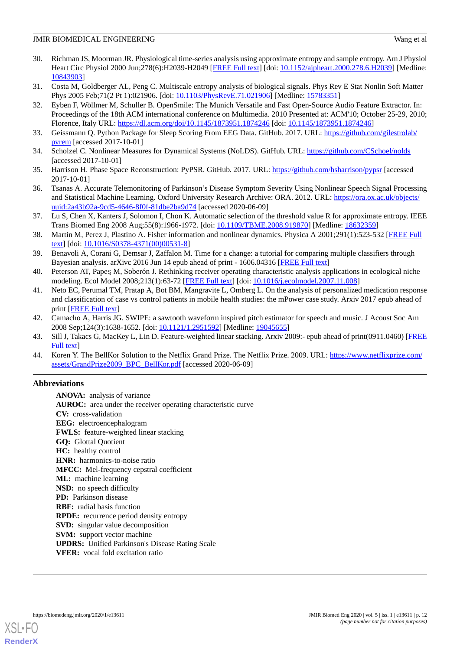- <span id="page-11-0"></span>30. Richman JS, Moorman JR. Physiological time-series analysis using approximate entropy and sample entropy. Am J Physiol Heart Circ Physiol 2000 Jun;278(6):H2039-H2049 [\[FREE Full text\]](http://journals.physiology.org/doi/full/10.1152/ajpheart.2000.278.6.H2039?url_ver=Z39.88-2003&rfr_id=ori:rid:crossref.org&rfr_dat=cr_pub%3dpubmed) [doi: [10.1152/ajpheart.2000.278.6.H2039\]](http://dx.doi.org/10.1152/ajpheart.2000.278.6.H2039) [Medline: [10843903](http://www.ncbi.nlm.nih.gov/entrez/query.fcgi?cmd=Retrieve&db=PubMed&list_uids=10843903&dopt=Abstract)]
- <span id="page-11-2"></span><span id="page-11-1"></span>31. Costa M, Goldberger AL, Peng C. Multiscale entropy analysis of biological signals. Phys Rev E Stat Nonlin Soft Matter Phys 2005 Feb;71(2 Pt 1):021906. [doi: [10.1103/PhysRevE.71.021906\]](http://dx.doi.org/10.1103/PhysRevE.71.021906) [Medline: [15783351](http://www.ncbi.nlm.nih.gov/entrez/query.fcgi?cmd=Retrieve&db=PubMed&list_uids=15783351&dopt=Abstract)]
- 32. Eyben F, Wöllmer M, Schuller B. OpenSmile: The Munich Versatile and Fast Open-Source Audio Feature Extractor. In: Proceedings of the 18th ACM international conference on Multimedia. 2010 Presented at: ACM'10; October 25-29, 2010; Florence, Italy URL: <https://dl.acm.org/doi/10.1145/1873951.1874246> [doi: [10.1145/1873951.1874246\]](http://dx.doi.org/10.1145/1873951.1874246)
- <span id="page-11-4"></span><span id="page-11-3"></span>33. Geissmann Q. Python Package for Sleep Scoring From EEG Data. GitHub. 2017. URL: [https://github.com/gilestrolab/](https://github.com/gilestrolab/pyrem) [pyrem](https://github.com/gilestrolab/pyrem) [accessed 2017-10-01]
- <span id="page-11-5"></span>34. Scholzel C. Nonlinear Measures for Dynamical Systems (NoLDS). GitHub. URL: <https://github.com/CSchoel/nolds> [accessed 2017-10-01]
- <span id="page-11-6"></span>35. Harrison H. Phase Space Reconstruction: PyPSR. GitHub. 2017. URL:<https://github.com/hsharrison/pypsr> [accessed 2017-10-01]
- <span id="page-11-7"></span>36. Tsanas A. Accurate Telemonitoring of Parkinson's Disease Symptom Severity Using Nonlinear Speech Signal Processing and Statistical Machine Learning. Oxford University Research Archive: ORA. 2012. URL: [https://ora.ox.ac.uk/objects/](https://ora.ox.ac.uk/objects/uuid:2a43b92a-9cd5-4646-8f0f-81dbe2ba9d74) [uuid:2a43b92a-9cd5-4646-8f0f-81dbe2ba9d74](https://ora.ox.ac.uk/objects/uuid:2a43b92a-9cd5-4646-8f0f-81dbe2ba9d74) [accessed 2020-06-09]
- <span id="page-11-8"></span>37. Lu S, Chen X, Kanters J, Solomon I, Chon K. Automatic selection of the threshold value R for approximate entropy. IEEE Trans Biomed Eng 2008 Aug;55(8):1966-1972. [doi: [10.1109/TBME.2008.919870\]](http://dx.doi.org/10.1109/TBME.2008.919870) [Medline: [18632359\]](http://www.ncbi.nlm.nih.gov/entrez/query.fcgi?cmd=Retrieve&db=PubMed&list_uids=18632359&dopt=Abstract)
- <span id="page-11-9"></span>38. Martin M, Perez J, Plastino A. Fisher information and nonlinear dynamics. Physica A 2001;291(1):523-532 [\[FREE Full](https://www.sciencedirect.com/science/article/pii/S0378437100005318) [text](https://www.sciencedirect.com/science/article/pii/S0378437100005318)] [doi: [10.1016/S0378-4371\(00\)00531-8\]](http://dx.doi.org/10.1016/S0378-4371(00)00531-8)
- <span id="page-11-11"></span><span id="page-11-10"></span>39. Benavoli A, Corani G, Demsar J, Zaffalon M. Time for a change: a tutorial for comparing multiple classifiers through Bayesian analysis. arXivc 2016 Jun 14 epub ahead of print - 1606.04316 [[FREE Full text](http://arxiv.org/abs/1606.04316)]
- 40. Peterson AT, Papeş M, Soberón J. Rethinking receiver operating characteristic analysis applications in ecological niche modeling. Ecol Model 2008;213(1):63-72 [\[FREE Full text](https://ideas.repec.org/a/eee/ecomod/v213y2008i1p63-72.html)] [doi: [10.1016/j.ecolmodel.2007.11.008](http://dx.doi.org/10.1016/j.ecolmodel.2007.11.008)]
- <span id="page-11-13"></span><span id="page-11-12"></span>41. Neto EC, Perumal TM, Pratap A, Bot BM, Mangravite L, Omberg L. On the analysis of personalized medication response and classification of case vs control patients in mobile health studies: the mPower case study. Arxiv 2017 epub ahead of print [\[FREE Full text\]](https://arxiv.org/abs/1706.09574)
- <span id="page-11-14"></span>42. Camacho A, Harris JG. SWIPE: a sawtooth waveform inspired pitch estimator for speech and music. J Acoust Soc Am 2008 Sep;124(3):1638-1652. [doi: [10.1121/1.2951592\]](http://dx.doi.org/10.1121/1.2951592) [Medline: [19045655\]](http://www.ncbi.nlm.nih.gov/entrez/query.fcgi?cmd=Retrieve&db=PubMed&list_uids=19045655&dopt=Abstract)
- 43. Sill J, Takacs G, MacKey L, Lin D. Feature-weighted linear stacking. Arxiv 2009:- epub ahead of print(0911.0460) [\[FREE](https://arxiv.org/abs/0911.0460) [Full text\]](https://arxiv.org/abs/0911.0460)
- 44. Koren Y. The BellKor Solution to the Netflix Grand Prize. The Netflix Prize. 2009. URL: [https://www.netflixprize.com/](https://www.netflixprize.com/assets/GrandPrize2009_BPC_BellKor.pdf) [assets/GrandPrize2009\\_BPC\\_BellKor.pdf](https://www.netflixprize.com/assets/GrandPrize2009_BPC_BellKor.pdf) [accessed 2020-06-09]

# **Abbreviations**

**ANOVA:** analysis of variance **AUROC:** area under the receiver operating characteristic curve **CV:** cross-validation **EEG:** electroencephalogram **FWLS:** feature-weighted linear stacking **GQ:** Glottal Quotient **HC:** healthy control **HNR:** harmonics-to-noise ratio **MFCC:** Mel-frequency cepstral coefficient **ML:** machine learning **NSD:** no speech difficulty **PD:** Parkinson disease **RBF:** radial basis function **RPDE:** recurrence period density entropy **SVD:** singular value decomposition **SVM:** support vector machine **UPDRS:** Unified Parkinson's Disease Rating Scale **VFER:** vocal fold excitation ratio